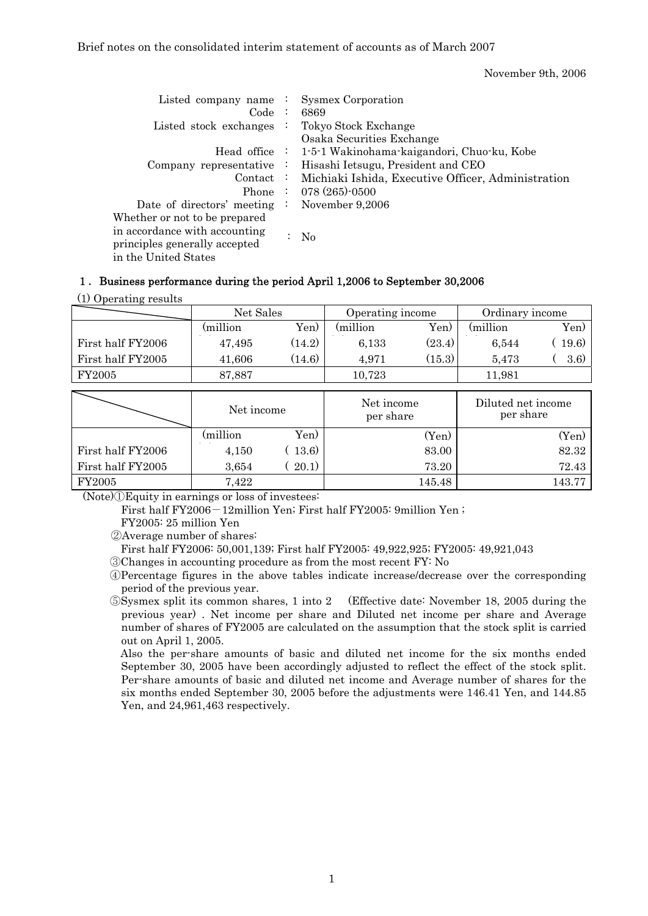Brief notes on the consolidated interim statement of accounts as of March 2007

November 9th, 2006

| Listed company name $\cdot$<br>Code:                                                                                    |                           | <b>Sysmex Corporation</b><br>6869                            |
|-------------------------------------------------------------------------------------------------------------------------|---------------------------|--------------------------------------------------------------|
| Listed stock exchanges                                                                                                  | $\mathbb{Z}^{\mathbb{Z}}$ | Tokyo Stock Exchange<br>Osaka Securities Exchange            |
|                                                                                                                         |                           | Head office : 1-5-1 Wakinohama-kaigandori, Chuo-ku, Kobe     |
| Company representative $\cdot$                                                                                          |                           | Hisashi Ietsugu, President and CEO                           |
|                                                                                                                         |                           | Contact : Michiaki Ishida, Executive Officer, Administration |
|                                                                                                                         |                           | Phone : $078(265)$ -0500                                     |
| Date of directors' meeting $\therefore$                                                                                 |                           | November 9,2006                                              |
| Whether or not to be prepared<br>in accordance with accounting<br>principles generally accepted<br>in the United States |                           | $\rm No$                                                     |

## 1.Business performance during the period April 1,2006 to September 30,2006

|  | (1) Operating results |  |
|--|-----------------------|--|
|--|-----------------------|--|

|                   | Net Sales |        | Operating income |        | Ordinary income |       |
|-------------------|-----------|--------|------------------|--------|-----------------|-------|
|                   | million)  | Yen)   | million)         | Yen)   | million)        | Yen)  |
| First half FY2006 | 47,495    | (14.2) | 6.133            | (23.4) | 6.544           | 19.6) |
| First half FY2005 | 41,606    | (14.6) | 4.971            | (15.3) | 5.473           | 3.6)  |
| FY2005            | 87,887    |        | 10,723           |        | 11.981          |       |

|                   | Net income |        | Net income<br>per share | Diluted net income<br>per share |  |
|-------------------|------------|--------|-------------------------|---------------------------------|--|
|                   | (million   | Yen)   | (Yen)                   | (Yen)                           |  |
| First half FY2006 | 4,150      | (13.6) | 83.00                   | 82.32                           |  |
| First half FY2005 | 3,654      | (20.1) | 73.20                   | 72.43                           |  |
| <b>FY2005</b>     | 7,422      |        | 145.48                  | 143.77                          |  |

(Note)①Equity in earnings or loss of investees:

First half FY2006-12million Yen; First half FY2005: 9million Yen;

FY2005: 25 million Yen

②Average number of shares:

First half FY2006: 50,001,139; First half FY2005: 49,922,925; FY2005: 49,921,043

③Changes in accounting procedure as from the most recent FY: No

④Percentage figures in the above tables indicate increase/decrease over the corresponding period of the previous year.

⑤Sysmex split its common shares, 1 into 2 (Effective date: November 18, 2005 during the previous year) . Net income per share and Diluted net income per share and Average number of shares of FY2005 are calculated on the assumption that the stock split is carried out on April 1, 2005.

Also the per-share amounts of basic and diluted net income for the six months ended September 30, 2005 have been accordingly adjusted to reflect the effect of the stock split. Per-share amounts of basic and diluted net income and Average number of shares for the six months ended September 30, 2005 before the adjustments were 146.41 Yen, and 144.85 Yen, and 24,961,463 respectively.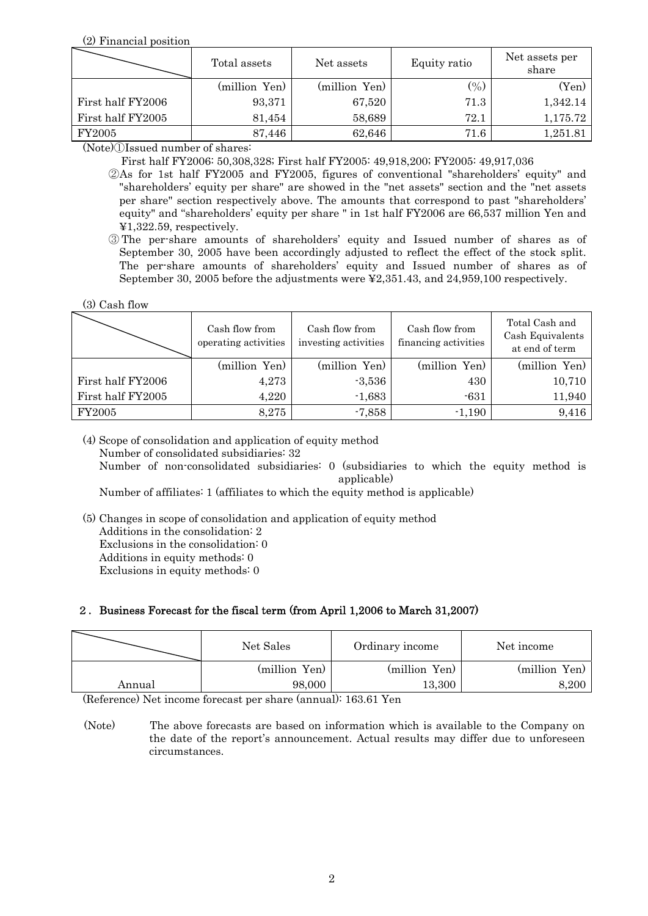(2) Financial position

|                   | Total assets  | Net assets    | Equity ratio | Net assets per<br>share |  |
|-------------------|---------------|---------------|--------------|-------------------------|--|
|                   | (million Yen) | (million Yen) | $($ %)       | (Yen)                   |  |
| First half FY2006 | 93,371        | 67,520        | 71.3         | 1,342.14                |  |
| First half FY2005 | 81,454        | 58,689        | 72.1         | 1,175.72                |  |
| FY2005            | 87,446        | 62,646        | 71.6         | 1,251.81                |  |

(Note)①Issued number of shares:

First half FY2006: 50,308,328; First half FY2005: 49,918,200; FY2005: 49,917,036

- ②As for 1st half FY2005 and FY2005, figures of conventional "shareholders' equity" and "shareholders' equity per share" are showed in the "net assets" section and the "net assets per share" section respectively above. The amounts that correspond to past "shareholders' equity" and "shareholders' equity per share " in 1st half FY2006 are 66,537 million Yen and ¥1,322.59, respectively.
- ③ The per-share amounts of shareholders' equity and Issued number of shares as of September 30, 2005 have been accordingly adjusted to reflect the effect of the stock split. The per-share amounts of shareholders' equity and Issued number of shares as of September 30, 2005 before the adjustments were ¥2,351.43, and 24,959,100 respectively.

(3) Cash flow

| (3) Cash flow     |                                        |                                        |                                        |                                                      |
|-------------------|----------------------------------------|----------------------------------------|----------------------------------------|------------------------------------------------------|
|                   | Cash flow from<br>operating activities | Cash flow from<br>investing activities | Cash flow from<br>financing activities | Total Cash and<br>Cash Equivalents<br>at end of term |
|                   | (million Yen)                          | (million Yen)                          | (million Yen)                          | (million Yen)                                        |
| First half FY2006 | 4,273                                  | $-3,536$                               | 430                                    | 10,710                                               |
| First half FY2005 | 4,220                                  | $-1,683$                               | $-631$                                 | 11,940                                               |
| FY2005            | 8,275                                  | $-7,858$                               | $-1,190$                               | 9,416                                                |

 (4) Scope of consolidation and application of equity method Number of consolidated subsidiaries: 32 Number of non-consolidated subsidiaries: 0 (subsidiaries to which the equity method is

applicable)

Number of affiliates: 1 (affiliates to which the equity method is applicable)

 (5) Changes in scope of consolidation and application of equity method Additions in the consolidation: 2 Exclusions in the consolidation: 0 Additions in equity methods: 0

Exclusions in equity methods: 0

# 2.Business Forecast for the fiscal term (from April 1,2006 to March 31,2007)

|        | Net Sales     | Ordinary income | Net income    |  |
|--------|---------------|-----------------|---------------|--|
|        | (million Yen) | (million Yen)   | (million Yen) |  |
| Annual | 98,000        | 13,300          | 8,200         |  |

(Reference) Net income forecast per share (annual): 163.61 Yen

 (Note) The above forecasts are based on information which is available to the Company on the date of the report's announcement. Actual results may differ due to unforeseen circumstances.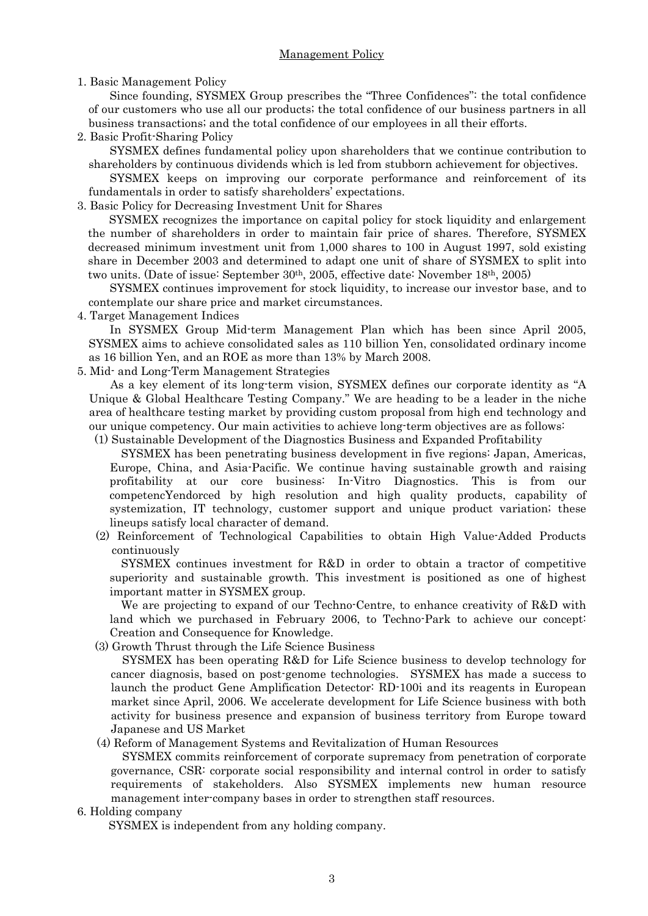### Management Policy

#### 1. Basic Management Policy

Since founding, SYSMEX Group prescribes the "Three Confidences": the total confidence of our customers who use all our products; the total confidence of our business partners in all business transactions; and the total confidence of our employees in all their efforts.

2. Basic Profit-Sharing Policy

SYSMEX defines fundamental policy upon shareholders that we continue contribution to shareholders by continuous dividends which is led from stubborn achievement for objectives.

SYSMEX keeps on improving our corporate performance and reinforcement of its fundamentals in order to satisfy shareholders' expectations.

3. Basic Policy for Decreasing Investment Unit for Shares

SYSMEX recognizes the importance on capital policy for stock liquidity and enlargement the number of shareholders in order to maintain fair price of shares. Therefore, SYSMEX decreased minimum investment unit from 1,000 shares to 100 in August 1997, sold existing share in December 2003 and determined to adapt one unit of share of SYSMEX to split into two units. (Date of issue: September 30<sup>th</sup>, 2005, effective date: November 18<sup>th</sup>, 2005)

SYSMEX continues improvement for stock liquidity, to increase our investor base, and to contemplate our share price and market circumstances.

4. Target Management Indices

In SYSMEX Group Mid-term Management Plan which has been since April 2005, SYSMEX aims to achieve consolidated sales as 110 billion Yen, consolidated ordinary income as 16 billion Yen, and an ROE as more than 13% by March 2008.

5. Mid- and Long-Term Management Strategies

As a key element of its long-term vision, SYSMEX defines our corporate identity as "A Unique & Global Healthcare Testing Company." We are heading to be a leader in the niche area of healthcare testing market by providing custom proposal from high end technology and our unique competency. Our main activities to achieve long-term objectives are as follows:

(1) Sustainable Development of the Diagnostics Business and Expanded Profitability

SYSMEX has been penetrating business development in five regions: Japan, Americas, Europe, China, and Asia-Pacific. We continue having sustainable growth and raising profitability at our core business: In-Vitro Diagnostics. This is from our competencYendorced by high resolution and high quality products, capability of systemization, IT technology, customer support and unique product variation; these lineups satisfy local character of demand.

 (2) Reinforcement of Technological Capabilities to obtain High Value-Added Products continuously

SYSMEX continues investment for R&D in order to obtain a tractor of competitive superiority and sustainable growth. This investment is positioned as one of highest important matter in SYSMEX group.

We are projecting to expand of our Techno-Centre, to enhance creativity of R&D with land which we purchased in February 2006, to Techno-Park to achieve our concept: Creation and Consequence for Knowledge.

(3) Growth Thrust through the Life Science Business

SYSMEX has been operating R&D for Life Science business to develop technology for cancer diagnosis, based on post-genome technologies. SYSMEX has made a success to launch the product Gene Amplification Detector: RD-100i and its reagents in European market since April, 2006. We accelerate development for Life Science business with both activity for business presence and expansion of business territory from Europe toward Japanese and US Market

(4) Reform of Management Systems and Revitalization of Human Resources

SYSMEX commits reinforcement of corporate supremacy from penetration of corporate governance, CSR: corporate social responsibility and internal control in order to satisfy requirements of stakeholders. Also SYSMEX implements new human resource management inter-company bases in order to strengthen staff resources.

#### 6. Holding company

SYSMEX is independent from any holding company.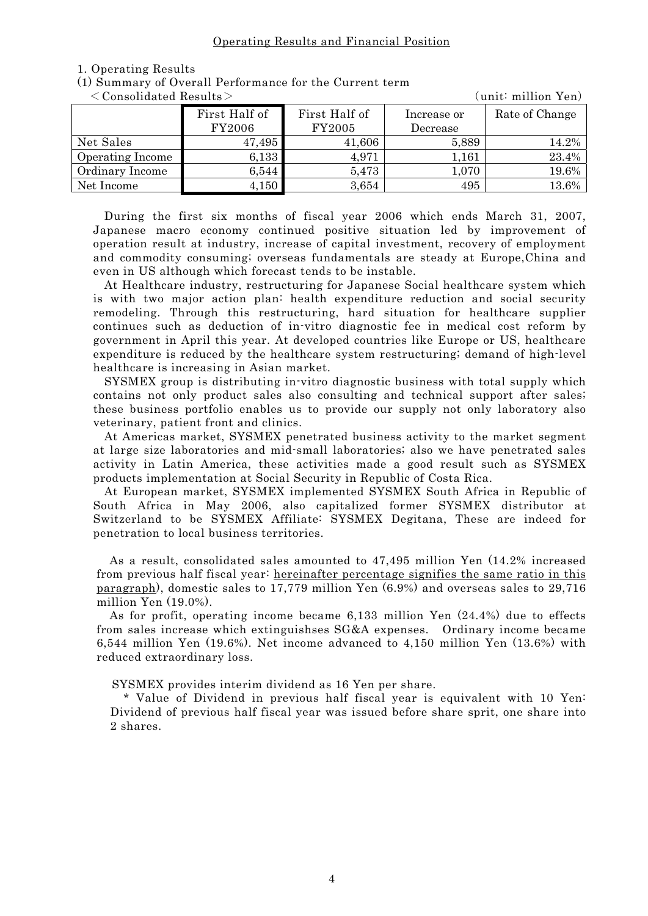#### Operating Results and Financial Position

#### 1. Operating Results

| (unit: million Yen)<br>$\langle$ Consolidated Results $>$ |               |               |             |                |  |
|-----------------------------------------------------------|---------------|---------------|-------------|----------------|--|
|                                                           | First Half of | First Half of | Increase or | Rate of Change |  |
|                                                           | <b>FY2006</b> | FY2005        | Decrease    |                |  |
| Net Sales                                                 | 47,495        | 41,606        | 5,889       | 14.2%          |  |
| Operating Income                                          | 6,133         | 4,971         | 1,161       | 23.4%          |  |
| Ordinary Income                                           | 6,544         | 5,473         | 1,070       | 19.6%          |  |
| Net Income                                                | 4,150         | 3,654         | 495         | 13.6%          |  |

(1) Summary of Overall Performance for the Current term

During the first six months of fiscal year 2006 which ends March 31, 2007, Japanese macro economy continued positive situation led by improvement of operation result at industry, increase of capital investment, recovery of employment and commodity consuming; overseas fundamentals are steady at Europe,China and even in US although which forecast tends to be instable.

At Healthcare industry, restructuring for Japanese Social healthcare system which is with two major action plan: health expenditure reduction and social security remodeling. Through this restructuring, hard situation for healthcare supplier continues such as deduction of in-vitro diagnostic fee in medical cost reform by government in April this year. At developed countries like Europe or US, healthcare expenditure is reduced by the healthcare system restructuring; demand of high-level healthcare is increasing in Asian market.

SYSMEX group is distributing in-vitro diagnostic business with total supply which contains not only product sales also consulting and technical support after sales; these business portfolio enables us to provide our supply not only laboratory also veterinary, patient front and clinics.

At Americas market, SYSMEX penetrated business activity to the market segment at large size laboratories and mid-small laboratories; also we have penetrated sales activity in Latin America, these activities made a good result such as SYSMEX products implementation at Social Security in Republic of Costa Rica.

At European market, SYSMEX implemented SYSMEX South Africa in Republic of South Africa in May 2006, also capitalized former SYSMEX distributor at Switzerland to be SYSMEX Affiliate: SYSMEX Degitana, These are indeed for penetration to local business territories.

As a result, consolidated sales amounted to 47,495 million Yen (14.2% increased from previous half fiscal year: hereinafter percentage signifies the same ratio in this paragraph), domestic sales to 17,779 million Yen (6.9%) and overseas sales to 29,716 million Yen (19.0%).

As for profit, operating income became 6,133 million Yen (24.4%) due to effects from sales increase which extinguishses SG&A expenses. Ordinary income became 6,544 million Yen (19.6%). Net income advanced to 4,150 million Yen (13.6%) with reduced extraordinary loss.

SYSMEX provides interim dividend as 16 Yen per share.

\* Value of Dividend in previous half fiscal year is equivalent with 10 Yen: Dividend of previous half fiscal year was issued before share sprit, one share into 2 shares.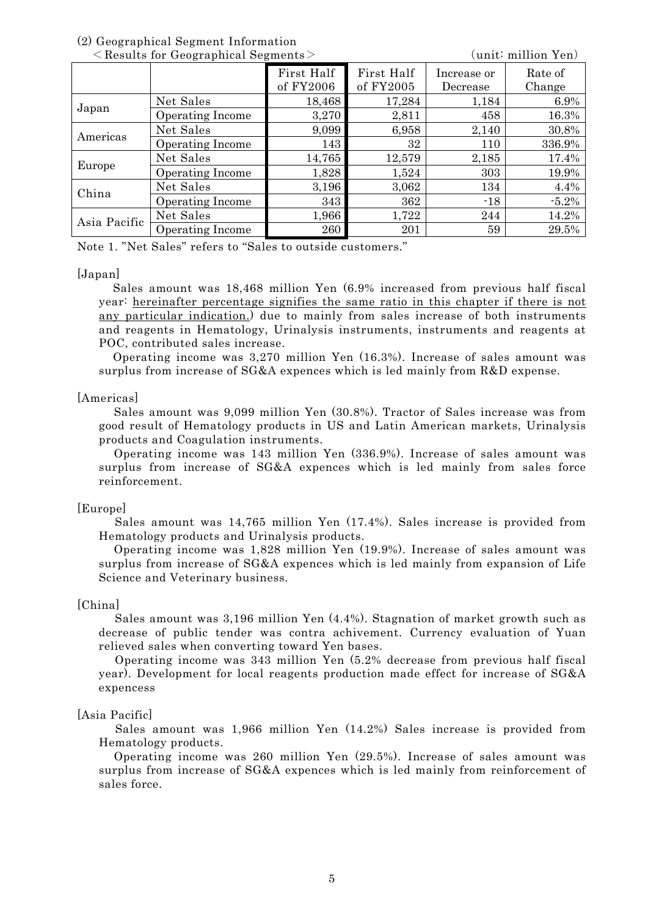# (2) Geographical Segment Information

|              | $\leq$ Results for Geographical Segments $\geq$ |            |            |             | unit: million Yen) |
|--------------|-------------------------------------------------|------------|------------|-------------|--------------------|
|              |                                                 | First Half | First Half | Increase or | Rate of            |
|              |                                                 | of FY2006  | of FY2005  | Decrease    | Change             |
|              | Net Sales                                       | 18,468     | 17,284     | 1,184       | 6.9%               |
| Japan        | Operating Income                                | 3,270      | 2,811      | 458         | 16.3%              |
| Americas     | Net Sales                                       | 9,099      | 6,958      | 2,140       | 30.8%              |
|              | Operating Income                                | 143        | 32         | 110         | 336.9%             |
| Europe       | Net Sales                                       | 14,765     | 12,579     | 2,185       | 17.4%              |
|              | Operating Income                                | 1,828      | 1,524      | 303         | 19.9%              |
| China        | Net Sales                                       | 3,196      | 3,062      | 134         | 4.4%               |
|              | Operating Income                                | 343        | 362        | $-18$       | $-5.2%$            |
| Asia Pacific | Net Sales                                       | 1,966      | 1,722      | 244         | 14.2%              |
|              | Operating Income                                | 260        | 201        | 59          | 29.5%              |

Note 1. "Net Sales" refers to "Sales to outside customers."

### [Japan]

Sales amount was 18,468 million Yen (6.9% increased from previous half fiscal year: hereinafter percentage signifies the same ratio in this chapter if there is not any particular indication.) due to mainly from sales increase of both instruments and reagents in Hematology, Urinalysis instruments, instruments and reagents at POC, contributed sales increase.

Operating income was 3,270 million Yen (16.3%). Increase of sales amount was surplus from increase of SG&A expences which is led mainly from R&D expense.

#### [Americas]

Sales amount was 9,099 million Yen (30.8%). Tractor of Sales increase was from good result of Hematology products in US and Latin American markets, Urinalysis products and Coagulation instruments.

Operating income was 143 million Yen (336.9%). Increase of sales amount was surplus from increase of SG&A expences which is led mainly from sales force reinforcement.

#### [Europe]

Sales amount was 14,765 million Yen (17.4%). Sales increase is provided from Hematology products and Urinalysis products.

Operating income was 1,828 million Yen (19.9%). Increase of sales amount was surplus from increase of SG&A expences which is led mainly from expansion of Life Science and Veterinary business.

### [China]

Sales amount was 3,196 million Yen (4.4%). Stagnation of market growth such as decrease of public tender was contra achivement. Currency evaluation of Yuan relieved sales when converting toward Yen bases.

Operating income was 343 million Yen (5.2% decrease from previous half fiscal year). Development for local reagents production made effect for increase of SG&A expencess

### [Asia Pacific]

Sales amount was 1,966 million Yen (14.2%) Sales increase is provided from Hematology products.

Operating income was 260 million Yen (29.5%). Increase of sales amount was surplus from increase of SG&A expences which is led mainly from reinforcement of sales force.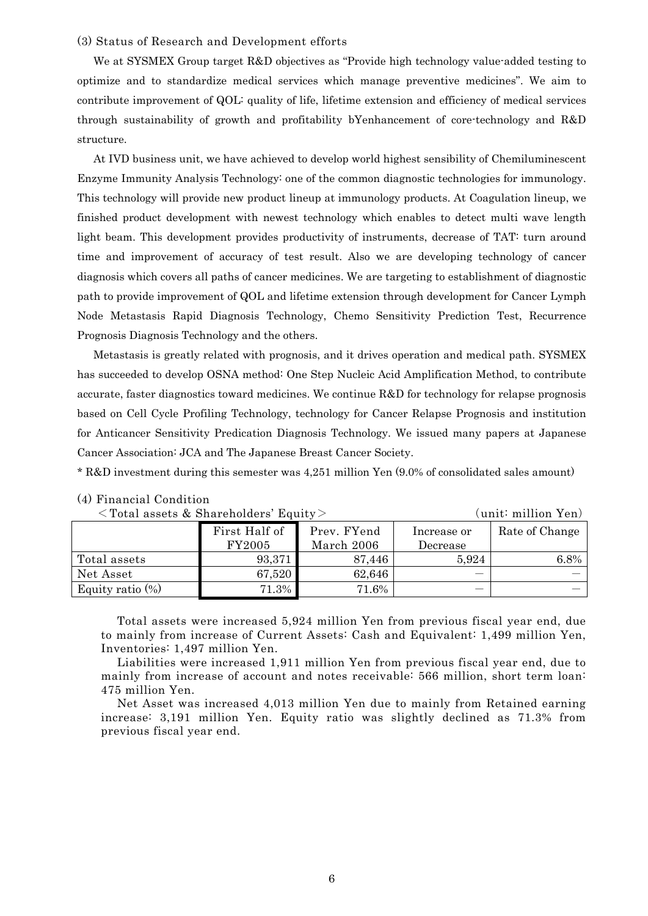#### (3) Status of Research and Development efforts

We at SYSMEX Group target R&D objectives as "Provide high technology value-added testing to optimize and to standardize medical services which manage preventive medicines". We aim to contribute improvement of QOL: quality of life, lifetime extension and efficiency of medical services through sustainability of growth and profitability bYenhancement of core-technology and R&D structure.

At IVD business unit, we have achieved to develop world highest sensibility of Chemiluminescent Enzyme Immunity Analysis Technology: one of the common diagnostic technologies for immunology. This technology will provide new product lineup at immunology products. At Coagulation lineup, we finished product development with newest technology which enables to detect multi wave length light beam. This development provides productivity of instruments, decrease of TAT: turn around time and improvement of accuracy of test result. Also we are developing technology of cancer diagnosis which covers all paths of cancer medicines. We are targeting to establishment of diagnostic path to provide improvement of QOL and lifetime extension through development for Cancer Lymph Node Metastasis Rapid Diagnosis Technology, Chemo Sensitivity Prediction Test, Recurrence Prognosis Diagnosis Technology and the others.

Metastasis is greatly related with prognosis, and it drives operation and medical path. SYSMEX has succeeded to develop OSNA method: One Step Nucleic Acid Amplification Method, to contribute accurate, faster diagnostics toward medicines. We continue R&D for technology for relapse prognosis based on Cell Cycle Profiling Technology, technology for Cancer Relapse Prognosis and institution for Anticancer Sensitivity Predication Diagnosis Technology. We issued many papers at Japanese Cancer Association: JCA and The Japanese Breast Cancer Society.

\* R&D investment during this semester was 4,251 million Yen (9.0% of consolidated sales amount)

| $\langle$ Total assets & Shareholders' Equity $>$ |               |             |             | (unit: million Yen) |
|---------------------------------------------------|---------------|-------------|-------------|---------------------|
|                                                   | First Half of | Prev. FYend | Increase or | Rate of Change      |
|                                                   | FY2005        | March 2006  | Decrease    |                     |
| Total assets                                      | 93,371        | 87,446      | 5,924       | 6.8%                |
| Net Asset                                         | 67,520        | 62,646      |             |                     |
| Equity ratio $(\%)$                               | 71.3%         | 71.6%       |             |                     |

## (4) Financial Condition

Total assets were increased 5,924 million Yen from previous fiscal year end, due to mainly from increase of Current Assets: Cash and Equivalent: 1,499 million Yen, Inventories: 1,497 million Yen.

Liabilities were increased 1,911 million Yen from previous fiscal year end, due to mainly from increase of account and notes receivable: 566 million, short term loan: 475 million Yen.

Net Asset was increased 4,013 million Yen due to mainly from Retained earning increase: 3,191 million Yen. Equity ratio was slightly declined as 71.3% from previous fiscal year end.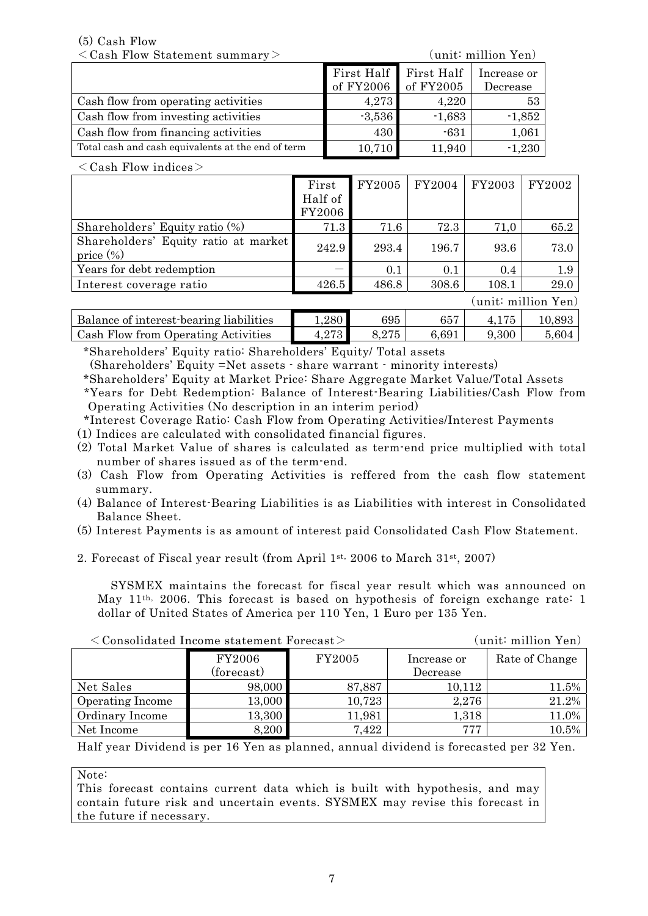(5) Cash Flow

<Cash Flow Statement summary> (unit: million Yen)

|                                                    | First Half First Half |          | Increase or |
|----------------------------------------------------|-----------------------|----------|-------------|
|                                                    | of FY2006 of FY2005   |          | Decrease    |
| Cash flow from operating activities                | 4,273                 | 4,220    | 53          |
| Cash flow from investing activities                | $-3,536$              | $-1,683$ | $-1,852$    |
| Cash flow from financing activities                | 430                   | $-631$   | 1,061       |
| Total cash and cash equivalents at the end of term | 10,710                | 11,940   | $-1,230$    |

 $\langle$  Cash Flow indices  $>$ 

|                                                      | First   | FY2005 | FY2004 | FY2003 | FY2002             |
|------------------------------------------------------|---------|--------|--------|--------|--------------------|
|                                                      | Half of |        |        |        |                    |
|                                                      | FY2006  |        |        |        |                    |
| Shareholders' Equity ratio (%)                       | 71.3    | 71.6   | 72.3   | 71,0   | 65.2               |
| Shareholders' Equity ratio at market<br>price $(\%)$ | 242.9   | 293.4  | 196.7  | 93.6   | 73.0               |
| Years for debt redemption                            |         | 0.1    | 0.1    | 0.4    | 1.9                |
| Interest coverage ratio                              | 426.5   | 486.8  | 308.6  | 108.1  | 29.0               |
|                                                      |         |        |        |        | unit: million Yen) |
| Balance of interest-bearing liabilities              | 1,280   | 695    | 657    | 4,175  | 10,893             |
| Cash Flow from Operating Activities                  | 4,273   | 8,275  | 6,691  | 9,300  | 5,604              |

\*Shareholders' Equity ratio: Shareholders' Equity/ Total assets

(Shareholders' Equity =Net assets - share warrant - minority interests)

\*Shareholders' Equity at Market Price: Share Aggregate Market Value/Total Assets \*Years for Debt Redemption: Balance of Interest-Bearing Liabilities/Cash Flow from Operating Activities (No description in an interim period)

 \*Interest Coverage Ratio: Cash Flow from Operating Activities/Interest Payments (1) Indices are calculated with consolidated financial figures.

- (2) Total Market Value of shares is calculated as term-end price multiplied with total number of shares issued as of the term-end.
- (3) Cash Flow from Operating Activities is reffered from the cash flow statement summary.
- (4) Balance of Interest-Bearing Liabilities is as Liabilities with interest in Consolidated Balance Sheet.
- (5) Interest Payments is as amount of interest paid Consolidated Cash Flow Statement.
- 2. Forecast of Fiscal year result (from April 1st, 2006 to March 31st, 2007)

SYSMEX maintains the forecast for fiscal year result which was announced on May 11th, 2006. This forecast is based on hypothesis of foreign exchange rate: 1 dollar of United States of America per 110 Yen, 1 Euro per 135 Yen.

|            |        | unit: million Yen) |                                                            |
|------------|--------|--------------------|------------------------------------------------------------|
| FY2006     | FY2005 | Increase or        | Rate of Change                                             |
| (forecast) |        | Decrease           |                                                            |
| 98,000     | 87,887 | 10,112             | 11.5%                                                      |
| 13,000     | 10,723 | 2,276              | 21.2%                                                      |
| 13,300     | 11,981 | 1,318              | 11.0%                                                      |
| 8,200      | 7,422  | 777                | 10.5%                                                      |
|            |        |                    | $\langle$ Consolidated Income statement Forecast $\rangle$ |

Half year Dividend is per 16 Yen as planned, annual dividend is forecasted per 32 Yen.

Note:

This forecast contains current data which is built with hypothesis, and may contain future risk and uncertain events. SYSMEX may revise this forecast in the future if necessary.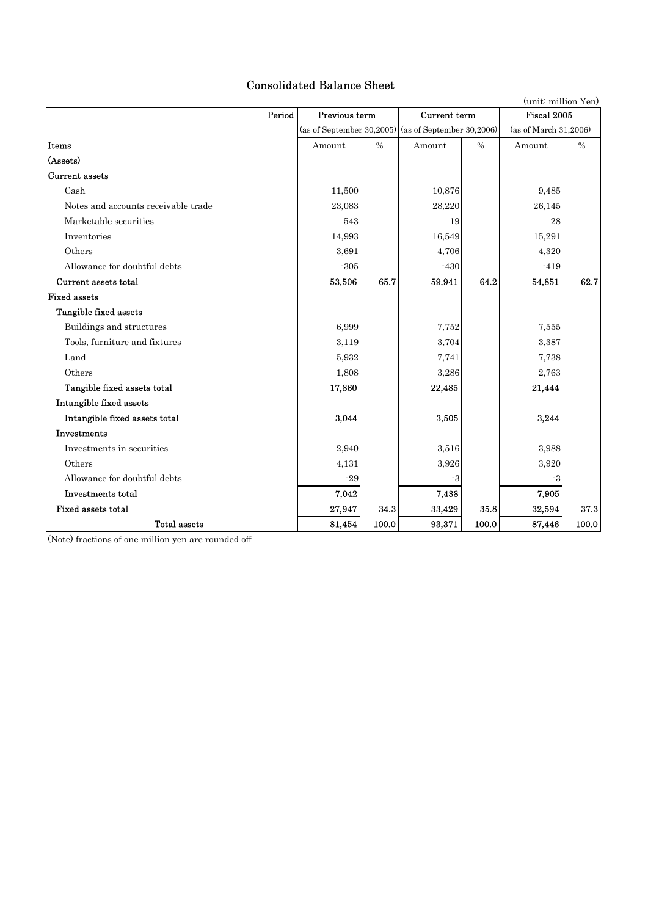# Consolidated Balance Sheet

| (unit: million Yen)                 |        |                               |                                                       |       |                       |             |  |
|-------------------------------------|--------|-------------------------------|-------------------------------------------------------|-------|-----------------------|-------------|--|
| Period                              |        | Previous term<br>Current term |                                                       |       |                       | Fiscal 2005 |  |
|                                     |        |                               | (as of September 30, 2005) (as of September 30, 2006) |       | (as of March 31,2006) |             |  |
| Items                               | Amount | $\%$                          | Amount                                                | $\%$  | Amount                | $\%$        |  |
| (Assets)                            |        |                               |                                                       |       |                       |             |  |
| <b>Current assets</b>               |        |                               |                                                       |       |                       |             |  |
| Cash                                | 11,500 |                               | 10,876                                                |       | 9,485                 |             |  |
| Notes and accounts receivable trade | 23.083 |                               | 28,220                                                |       | 26,145                |             |  |
| Marketable securities               | 543    |                               | 19                                                    |       | 28                    |             |  |
| Inventories                         | 14,993 |                               | 16.549                                                |       | 15,291                |             |  |
| Others                              | 3,691  |                               | 4,706                                                 |       | 4,320                 |             |  |
| Allowance for doubtful debts        | $-305$ |                               | $-430$                                                |       | $-419$                |             |  |
| Current assets total                | 53,506 | 65.7                          | 59,941                                                | 64.2  | 54,851                | 62.7        |  |
| <b>Fixed assets</b>                 |        |                               |                                                       |       |                       |             |  |
| Tangible fixed assets               |        |                               |                                                       |       |                       |             |  |
| Buildings and structures            | 6,999  |                               | 7,752                                                 |       | 7,555                 |             |  |
| Tools, furniture and fixtures       | 3,119  |                               | 3,704                                                 |       | 3,387                 |             |  |
| Land                                | 5,932  |                               | 7,741                                                 |       | 7,738                 |             |  |
| Others                              | 1,808  |                               | 3,286                                                 |       | 2,763                 |             |  |
| Tangible fixed assets total         | 17,860 |                               | 22,485                                                |       | 21,444                |             |  |
| Intangible fixed assets             |        |                               |                                                       |       |                       |             |  |
| Intangible fixed assets total       | 3,044  |                               | 3,505                                                 |       | 3,244                 |             |  |
| Investments                         |        |                               |                                                       |       |                       |             |  |
| Investments in securities           | 2,940  |                               | 3,516                                                 |       | 3,988                 |             |  |
| Others                              | 4,131  |                               | 3,926                                                 |       | 3,920                 |             |  |
| Allowance for doubtful debts        | $-29$  |                               | -3                                                    |       | -3                    |             |  |
| Investments total                   | 7,042  |                               | 7,438                                                 |       | 7,905                 |             |  |
| Fixed assets total                  | 27,947 | 34.3                          | 33,429                                                | 35.8  | 32,594                | 37.3        |  |
| Total assets                        | 81,454 | 100.0                         | 93,371                                                | 100.0 | 87,446                | 100.0       |  |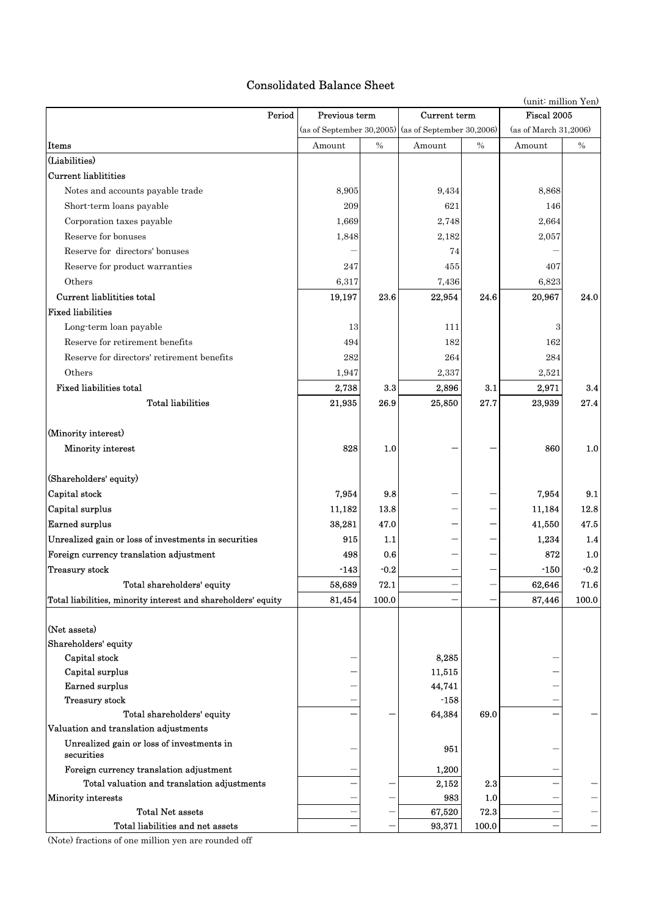# Consolidated Balance Sheet

|                                                               |        |               |                                                       | (unit: million Yen) |                       |        |  |
|---------------------------------------------------------------|--------|---------------|-------------------------------------------------------|---------------------|-----------------------|--------|--|
| Period                                                        |        | Previous term |                                                       | Current term        | Fiscal 2005           |        |  |
|                                                               |        |               | (as of September 30, 2005) (as of September 30, 2006) |                     | (as of March 31,2006) |        |  |
| Items                                                         | Amount | $\%$          | Amount                                                | $\%$                | Amount                | $\%$   |  |
| (Liabilities)                                                 |        |               |                                                       |                     |                       |        |  |
| <b>Current liablitities</b>                                   |        |               |                                                       |                     |                       |        |  |
| Notes and accounts payable trade                              | 8,905  |               | 9,434                                                 |                     | 8,868                 |        |  |
| Short-term loans payable                                      | 209    |               | 621                                                   |                     | 146                   |        |  |
| Corporation taxes payable                                     | 1,669  |               | 2,748                                                 |                     | 2,664                 |        |  |
| Reserve for bonuses                                           | 1,848  |               | 2,182                                                 |                     | 2,057                 |        |  |
| Reserve for directors' bonuses                                |        |               | 74                                                    |                     |                       |        |  |
| Reserve for product warranties                                | 247    |               | 455                                                   |                     | 407                   |        |  |
| Others                                                        | 6,317  |               | 7,436                                                 |                     | 6,823                 |        |  |
| Current liablitities total                                    | 19,197 | 23.6          | 22,954                                                | 24.6                | 20,967                | 24.0   |  |
| <b>Fixed liabilities</b>                                      |        |               |                                                       |                     |                       |        |  |
| Long-term loan payable                                        | 13     |               | 111                                                   |                     | 3                     |        |  |
| Reserve for retirement benefits                               |        |               | 182                                                   |                     |                       |        |  |
|                                                               | 494    |               |                                                       |                     | 162                   |        |  |
| Reserve for directors' retirement benefits                    | 282    |               | 264                                                   |                     | 284                   |        |  |
| Others                                                        | 1,947  |               | 2,337                                                 |                     | 2,521                 |        |  |
| <b>Fixed liabilities total</b>                                | 2,738  | 3.3           | 2,896                                                 | 3.1                 | 2,971                 | 3.4    |  |
| <b>Total liabilities</b>                                      | 21,935 | 26.9          | 25,850                                                | 27.7                | 23,939                | 27.4   |  |
|                                                               |        |               |                                                       |                     |                       |        |  |
| (Minority interest)                                           |        |               |                                                       |                     |                       |        |  |
| Minority interest                                             | 828    | 1.0           |                                                       |                     | 860                   | 1.0    |  |
|                                                               |        |               |                                                       |                     |                       |        |  |
| (Shareholders' equity)                                        |        |               |                                                       |                     |                       |        |  |
| Capital stock                                                 | 7,954  | 9.8           |                                                       |                     | 7,954                 | 9.1    |  |
| Capital surplus                                               | 11,182 | 13.8          |                                                       |                     | 11,184                | 12.8   |  |
| <b>Earned surplus</b>                                         | 38,281 | 47.0          |                                                       |                     | 41,550                | 47.5   |  |
| Unrealized gain or loss of investments in securities          | 915    | 1.1           |                                                       |                     | 1,234                 | 1.4    |  |
| Foreign currency translation adjustment                       | 498    | 0.6           |                                                       |                     | 872                   | 1.0    |  |
| Treasury stock                                                | $-143$ | $-0.2$        |                                                       |                     | $-150$                | $-0.2$ |  |
| Total shareholders' equity                                    | 58,689 | 72.1          |                                                       |                     | 62,646                | 71.6   |  |
| Total liabilities, minority interest and shareholders' equity | 81,454 | 100.0         |                                                       |                     | 87,446                | 100.0  |  |
|                                                               |        |               |                                                       |                     |                       |        |  |
| (Net assets)                                                  |        |               |                                                       |                     |                       |        |  |
| Shareholders' equity                                          |        |               |                                                       |                     |                       |        |  |
| Capital stock                                                 |        |               | 8,285                                                 |                     |                       |        |  |
| Capital surplus                                               |        |               | 11,515                                                |                     |                       |        |  |
| <b>Earned surplus</b>                                         |        |               | 44,741                                                |                     |                       |        |  |
| Treasury stock                                                |        |               | $-158$                                                |                     |                       |        |  |
| Total shareholders' equity                                    |        |               | 64,384                                                | 69.0                |                       |        |  |
| Valuation and translation adjustments                         |        |               |                                                       |                     |                       |        |  |
| Unrealized gain or loss of investments in<br>securities       |        |               | 951                                                   |                     |                       |        |  |
| Foreign currency translation adjustment                       |        |               | 1,200                                                 |                     |                       |        |  |
| Total valuation and translation adjustments                   |        |               | 2,152                                                 | 2.3                 |                       |        |  |
| Minority interests                                            |        |               | 983                                                   | 1.0                 |                       |        |  |
| <b>Total Net assets</b>                                       |        |               | 67,520                                                | 72.3                |                       |        |  |
| Total liabilities and net assets                              |        |               | 93,371                                                | 100.0               |                       |        |  |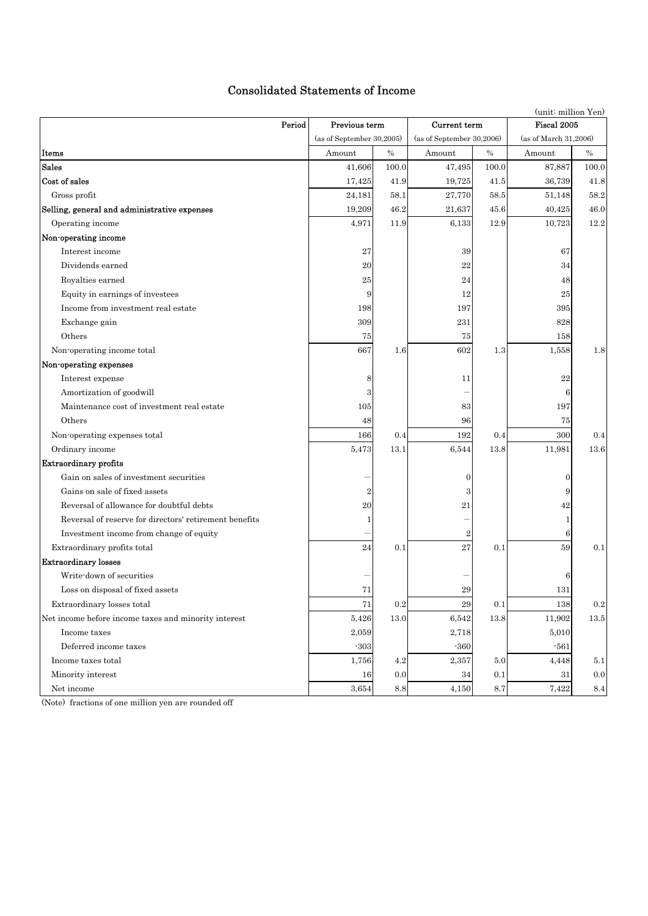# Consolidated Statements of Income

| (unit: million Yen)                                    |                              |                 |                           |         |                       |                 |  |  |
|--------------------------------------------------------|------------------------------|-----------------|---------------------------|---------|-----------------------|-----------------|--|--|
| Period                                                 | Previous term                |                 | Current term              |         | Fiscal 2005           |                 |  |  |
|                                                        | (as of September $30,2005$ ) |                 | (as of September 30,2006) |         | (as of March 31,2006) |                 |  |  |
| Items                                                  | Amount                       | $\%$            | Amount                    | $\%$    | Amount                | $\%$            |  |  |
| <b>Sales</b>                                           | 41,606                       | 100.0           | 47,495                    | 100.0   | 87,887                | 100.0           |  |  |
| Cost of sales                                          | 17,425                       | 41.9            | 19,725                    | 41.5    | 36,739                | 41.8            |  |  |
| Gross profit                                           | 24,181                       | 58.1            | 27,770                    | 58.5    | 51,148                | $58.2\,$        |  |  |
| Selling, general and administrative expenses           | 19,209                       | 46.2            | 21,637                    | 45.6    | 40,425                | 46.0            |  |  |
| Operating income                                       | 4,971                        | 11.9            | 6,133                     | 12.9    | 10,723                | 12.2            |  |  |
| Non-operating income                                   |                              |                 |                           |         |                       |                 |  |  |
| Interest income                                        | 27                           |                 | 39                        |         | 67                    |                 |  |  |
| Dividends earned                                       | 20                           |                 | 22                        |         | 34                    |                 |  |  |
| Royalties earned                                       | 25                           |                 | 24                        |         | 48                    |                 |  |  |
| Equity in earnings of investees                        | 9                            |                 | 12                        |         | 25                    |                 |  |  |
| Income from investment real estate                     | 198                          |                 | 197                       |         | 395                   |                 |  |  |
| Exchange gain                                          | 309                          |                 | 231                       |         | 828                   |                 |  |  |
| Others                                                 | 75                           |                 | 75                        |         | 158                   |                 |  |  |
| Non-operating income total                             | 667                          | 1.6             | 602                       | 1.3     | 1,558                 | 1.8             |  |  |
| Non-operating expenses                                 |                              |                 |                           |         |                       |                 |  |  |
| Interest expense                                       | 8                            |                 | 11                        |         | 22                    |                 |  |  |
| Amortization of goodwill                               | 3                            |                 |                           |         | 6                     |                 |  |  |
| Maintenance cost of investment real estate             | 105                          |                 | 83                        |         | 197                   |                 |  |  |
| Others                                                 | 48                           |                 | 96                        |         | 75                    |                 |  |  |
| Non-operating expenses total                           | 166                          | 0.4             | 192                       | 0.4     | 300                   | 0.4             |  |  |
| Ordinary income                                        | 5,473                        | 13.1            | 6,544                     | 13.8    | 11,981                | 13.6            |  |  |
| <b>Extraordinary profits</b>                           |                              |                 |                           |         |                       |                 |  |  |
| Gain on sales of investment securities                 |                              |                 | $\overline{0}$            |         | $\mathbf{0}$          |                 |  |  |
| Gains on sale of fixed assets                          | $\overline{2}$               |                 | 3                         |         | 9                     |                 |  |  |
| Reversal of allowance for doubtful debts               | $^{20}$                      |                 | 21                        |         | 42                    |                 |  |  |
| Reversal of reserve for directors' retirement benefits | 1                            |                 |                           |         | 1                     |                 |  |  |
| Investment income from change of equity                |                              |                 | $\boldsymbol{2}$          |         | 6                     |                 |  |  |
| Extraordinary profits total                            | 24                           | 0.1             | 27                        | 0.1     | 59                    | 0.1             |  |  |
| <b>Extraordinary losses</b>                            |                              |                 |                           |         |                       |                 |  |  |
| Write-down of securities                               |                              |                 |                           |         | 6                     |                 |  |  |
| Loss on disposal of fixed assets                       | 71                           |                 | 29                        |         | 131                   |                 |  |  |
| Extraordinary losses total                             | 71                           | $\rm 0.2$       | $\boldsymbol{29}$         | $0.1\,$ | 138                   | $\rm 0.2$       |  |  |
| Net income before income taxes and minority interest   | 5,426                        | 13.0            | 6,542                     | 13.8    | 11,902                | 13.5            |  |  |
| Income taxes                                           | 2,059                        |                 | 2,718                     |         | 5,010                 |                 |  |  |
| Deferred income taxes                                  | $-303$                       |                 | $-360$                    |         | $-561$                |                 |  |  |
| Income taxes total                                     | 1,756                        | $4.2\,$         | 2,357                     | 5.0     | 4,448                 | 5.1             |  |  |
| Minority interest                                      | 16                           | 0.0             | 34                        | 0.1     | 31                    | 0.0             |  |  |
| Net income                                             | 3,654                        | $\!\!\!\!\!8.8$ | 4,150                     | 8.7     | 7,422                 | $\!\!\!\!\!8.4$ |  |  |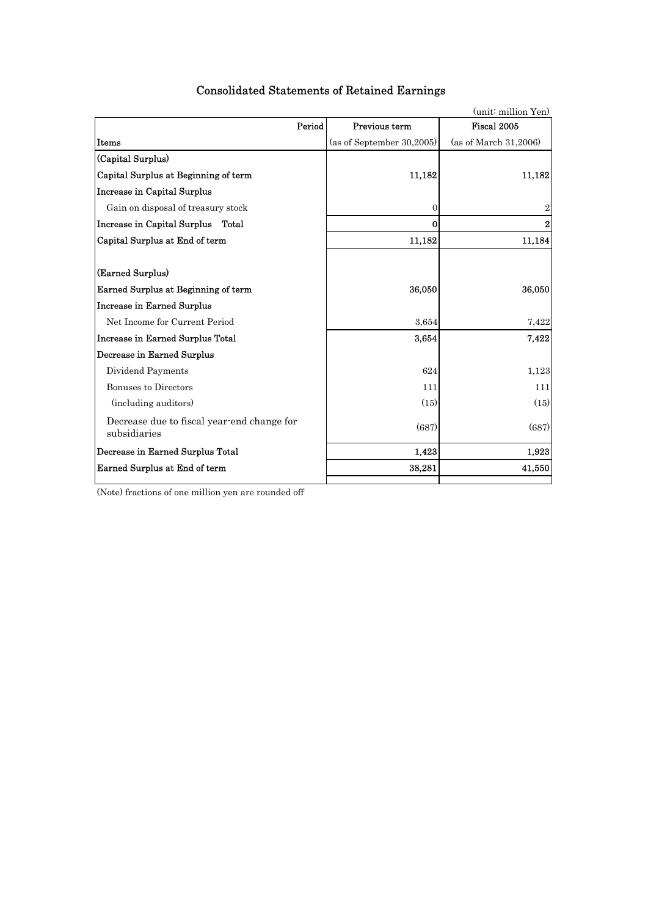|                                                            |                           | (unit: million Yen)   |
|------------------------------------------------------------|---------------------------|-----------------------|
| Period                                                     | Previous term             | Fiscal 2005           |
| Items                                                      | (as of September 30,2005) | (as of March 31,2006) |
| (Capital Surplus)                                          |                           |                       |
| Capital Surplus at Beginning of term                       | 11,182                    | 11,182                |
| <b>Increase in Capital Surplus</b>                         |                           |                       |
| Gain on disposal of treasury stock                         | 0                         | $\overline{2}$        |
| Increase in Capital Surplus Total                          | 0                         | $\bf{2}$              |
| Capital Surplus at End of term                             | 11,182                    | 11,184                |
|                                                            |                           |                       |
| (Earned Surplus)                                           |                           |                       |
| Earned Surplus at Beginning of term                        | 36,050                    | 36,050                |
| <b>Increase in Earned Surplus</b>                          |                           |                       |
| Net Income for Current Period                              | 3,654                     | 7,422                 |
| Increase in Earned Surplus Total                           | 3,654                     | 7,422                 |
| Decrease in Earned Surplus                                 |                           |                       |
| Dividend Payments                                          | 624                       | 1,123                 |
| <b>Bonuses to Directors</b>                                | 111                       | 111                   |
| (including auditors)                                       | (15)                      | (15)                  |
| Decrease due to fiscal year-end change for<br>subsidiaries | (687)                     | (687)                 |
| Decrease in Earned Surplus Total                           | 1,423                     | 1,923                 |
| Earned Surplus at End of term                              | 38,281                    | 41,550                |
|                                                            |                           |                       |

# Consolidated Statements of Retained Earnings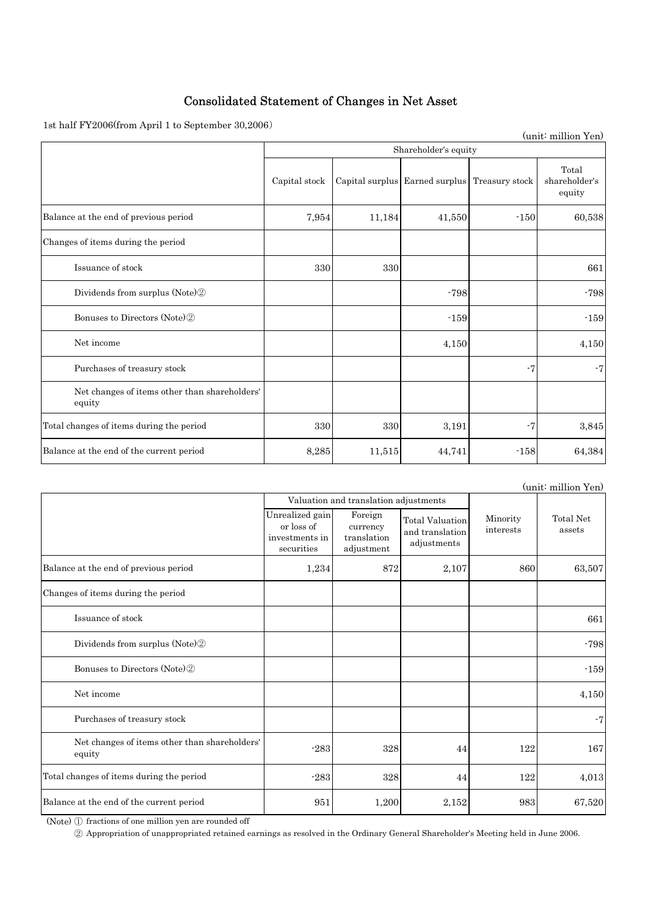# Consolidated Statement of Changes in Net Asset

1st half FY2006(from April 1 to September 30,2006)

|                                                         |                      |        |                                               |        | (unit: million Yen)              |  |  |  |
|---------------------------------------------------------|----------------------|--------|-----------------------------------------------|--------|----------------------------------|--|--|--|
|                                                         | Shareholder's equity |        |                                               |        |                                  |  |  |  |
|                                                         | Capital stock        |        | Capital surplus Earned surplus Treasury stock |        | Total<br>shareholder's<br>equity |  |  |  |
| Balance at the end of previous period                   | 7,954                | 11,184 | 41,550                                        | $-150$ | 60,538                           |  |  |  |
| Changes of items during the period                      |                      |        |                                               |        |                                  |  |  |  |
| Issuance of stock                                       | 330                  | 330    |                                               |        | 661                              |  |  |  |
| Dividends from surplus (Note) <sup>2</sup>              |                      |        | $-798$                                        |        | $-798$                           |  |  |  |
| Bonuses to Directors (Note) <sup>2</sup>                |                      |        | $-159$                                        |        | $-159$                           |  |  |  |
| Net income                                              |                      |        | 4,150                                         |        | 4,150                            |  |  |  |
| Purchases of treasury stock                             |                      |        |                                               | -7     | $-7$                             |  |  |  |
| Net changes of items other than shareholders'<br>equity |                      |        |                                               |        |                                  |  |  |  |
| Total changes of items during the period                | 330                  | 330    | 3,191                                         | $-7$   | 3,845                            |  |  |  |
| Balance at the end of the current period                | 8,285                | 11,515 | 44,741                                        | $-158$ | 64,384                           |  |  |  |

(unit: million Yen)

|                                                         |                                                               | Valuation and translation adjustments            |                                                          |                       |                     |
|---------------------------------------------------------|---------------------------------------------------------------|--------------------------------------------------|----------------------------------------------------------|-----------------------|---------------------|
|                                                         | Unrealized gain<br>or loss of<br>investments in<br>securities | Foreign<br>currency<br>translation<br>adjustment | <b>Total Valuation</b><br>and translation<br>adjustments | Minority<br>interests | Total Net<br>assets |
| Balance at the end of previous period                   | 1,234                                                         | 872                                              | 2,107                                                    | 860                   | 63,507              |
| Changes of items during the period                      |                                                               |                                                  |                                                          |                       |                     |
| Issuance of stock                                       |                                                               |                                                  |                                                          |                       | 661                 |
| Dividends from surplus (Note)2                          |                                                               |                                                  |                                                          |                       | $-798$              |
| Bonuses to Directors (Note) <sup>2</sup>                |                                                               |                                                  |                                                          |                       | $-159$              |
| Net income                                              |                                                               |                                                  |                                                          |                       | 4,150               |
| Purchases of treasury stock                             |                                                               |                                                  |                                                          |                       | $-7$                |
| Net changes of items other than shareholders'<br>equity | $-283$                                                        | 328                                              | 44                                                       | 122                   | 167                 |
| Total changes of items during the period                | $-283$                                                        | 328                                              | 44                                                       | 122                   | 4,013               |
| Balance at the end of the current period                | 951                                                           | 1,200                                            | 2,152                                                    | 983                   | 67,520              |

(Note) ① fractions of one million yen are rounded off

② Appropriation of unappropriated retained earnings as resolved in the Ordinary General Shareholder's Meeting held in June 2006.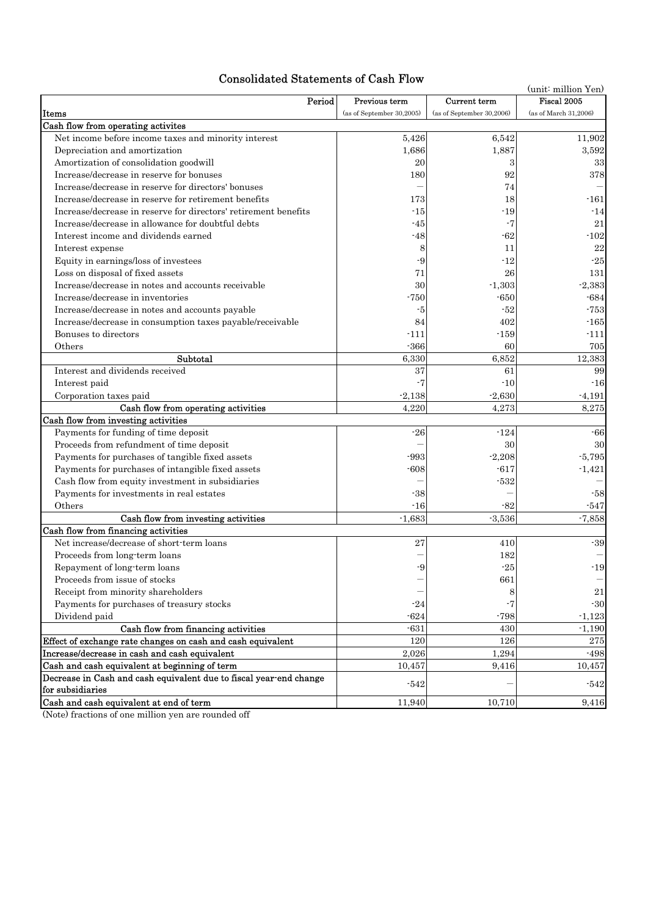# Consolidated Statements of Cash Flow

| Consonuateu Statements of Cash Flow                                 |                           |                           |                       |  |  |  |
|---------------------------------------------------------------------|---------------------------|---------------------------|-----------------------|--|--|--|
| Period                                                              | Previous term             | Current term              | Fiscal 2005           |  |  |  |
| Items                                                               | (as of September 30,2005) | (as of September 30,2006) | (as of March 31,2006) |  |  |  |
| Cash flow from operating activites                                  |                           |                           |                       |  |  |  |
| Net income before income taxes and minority interest                | 5,426                     | 6,542                     | 11,902                |  |  |  |
| Depreciation and amortization                                       | 1,686                     | 1,887                     | 3,592                 |  |  |  |
| Amortization of consolidation goodwill                              | 20                        | 3                         | $33\,$                |  |  |  |
| Increase/decrease in reserve for bonuses                            | 180                       | 92                        | 378                   |  |  |  |
| Increase/decrease in reserve for directors' bonuses                 |                           | 74                        |                       |  |  |  |
| Increase/decrease in reserve for retirement benefits                | 173                       | 18                        | $-161$                |  |  |  |
| Increase/decrease in reserve for directors' retirement benefits     | -15                       | -19                       | -14                   |  |  |  |
| Increase/decrease in allowance for doubtful debts                   | -45                       | -7                        | 21                    |  |  |  |
| Interest income and dividends earned                                | $-48$                     | $-62$                     | $\mbox{-}102$         |  |  |  |
| Interest expense                                                    | 8                         | 11                        | $\bf 22$              |  |  |  |
| Equity in earnings/loss of investees                                | -9                        | $-12$                     | $\mbox{-}25$          |  |  |  |
| Loss on disposal of fixed assets                                    | 71                        | 26                        | 131                   |  |  |  |
| Increase/decrease in notes and accounts receivable                  | 30                        | $-1,303$                  | $-2,383$              |  |  |  |
| Increase/decrease in inventories                                    | $-750$                    | $-650$                    | $-684$                |  |  |  |
| Increase/decrease in notes and accounts payable                     | -5                        | $-52$                     | $-753$                |  |  |  |
| Increase/decrease in consumption taxes payable/receivable           | 84                        | 402                       | $-165$                |  |  |  |
| Bonuses to directors                                                | $-111$                    | $-159$                    | $-111$                |  |  |  |
| Others                                                              | $-366$                    | 60                        | 705                   |  |  |  |
| Subtotal                                                            | 6,330                     | 6,852                     | 12,383                |  |  |  |
| Interest and dividends received                                     | 37                        | 61                        | 99                    |  |  |  |
| Interest paid                                                       | $-7$                      | $-10$                     | $-16$                 |  |  |  |
| Corporation taxes paid                                              | $-2,138$                  | $-2,630$                  | $-4,191$              |  |  |  |
| Cash flow from operating activities                                 | 4,220                     | 4,273                     | 8,275                 |  |  |  |
| Cash flow from investing activities                                 |                           |                           |                       |  |  |  |
| Payments for funding of time deposit                                | $-26$                     | $-124$                    | -66                   |  |  |  |
| Proceeds from refundment of time deposit                            |                           | 30                        | 30                    |  |  |  |
| Payments for purchases of tangible fixed assets                     | $-993$                    | $-2,208$                  | $-5,795$              |  |  |  |
| Payments for purchases of intangible fixed assets                   | $-608$                    | $-617$                    | $-1,421$              |  |  |  |
| Cash flow from equity investment in subsidiaries                    |                           | $-532$                    |                       |  |  |  |
| Payments for investments in real estates                            | $-38$                     |                           | -58                   |  |  |  |
| Others                                                              | $-16$                     | $-82$                     | $-547$                |  |  |  |
| Cash flow from investing activities                                 | $-1,683$                  | $-3,536$                  | $-7,858$              |  |  |  |
| Cash flow from financing activities                                 |                           |                           |                       |  |  |  |
| Net increase/decrease of short-term loans                           | 27                        | 410                       | $-39$                 |  |  |  |
| Proceeds from long-term loans                                       | -q                        | 182                       |                       |  |  |  |
| Repayment of long-term loans                                        |                           | $\mbox{-} 25$             | $-19$                 |  |  |  |
| Proceeds from issue of stocks<br>Receipt from minority shareholders |                           | 661                       |                       |  |  |  |
| Payments for purchases of treasury stocks                           |                           | 8<br>$-7$                 | $21\,$                |  |  |  |
|                                                                     | $-24$                     |                           | $-30$                 |  |  |  |
| Dividend paid<br>Cash flow from financing activities                | $-624$                    | $-798$                    | $-1,123$              |  |  |  |
| Effect of exchange rate changes on cash and cash equivalent         | $-631$<br>120             | 430<br>126                | $-1,190$              |  |  |  |
| Increase/decrease in cash and cash equivalent                       | 2,026                     |                           | 275                   |  |  |  |
| Cash and cash equivalent at beginning of term                       |                           | 1,294                     | -498<br>10,457        |  |  |  |
| Decrease in Cash and cash equivalent due to fiscal year-end change  | 10,457                    | 9,416                     |                       |  |  |  |
| for subsidiaries                                                    | $-542$                    |                           | $-542$                |  |  |  |
| Cash and cash equivalent at end of term                             | 11,940                    | 10,710                    | 9,416                 |  |  |  |
|                                                                     |                           |                           |                       |  |  |  |